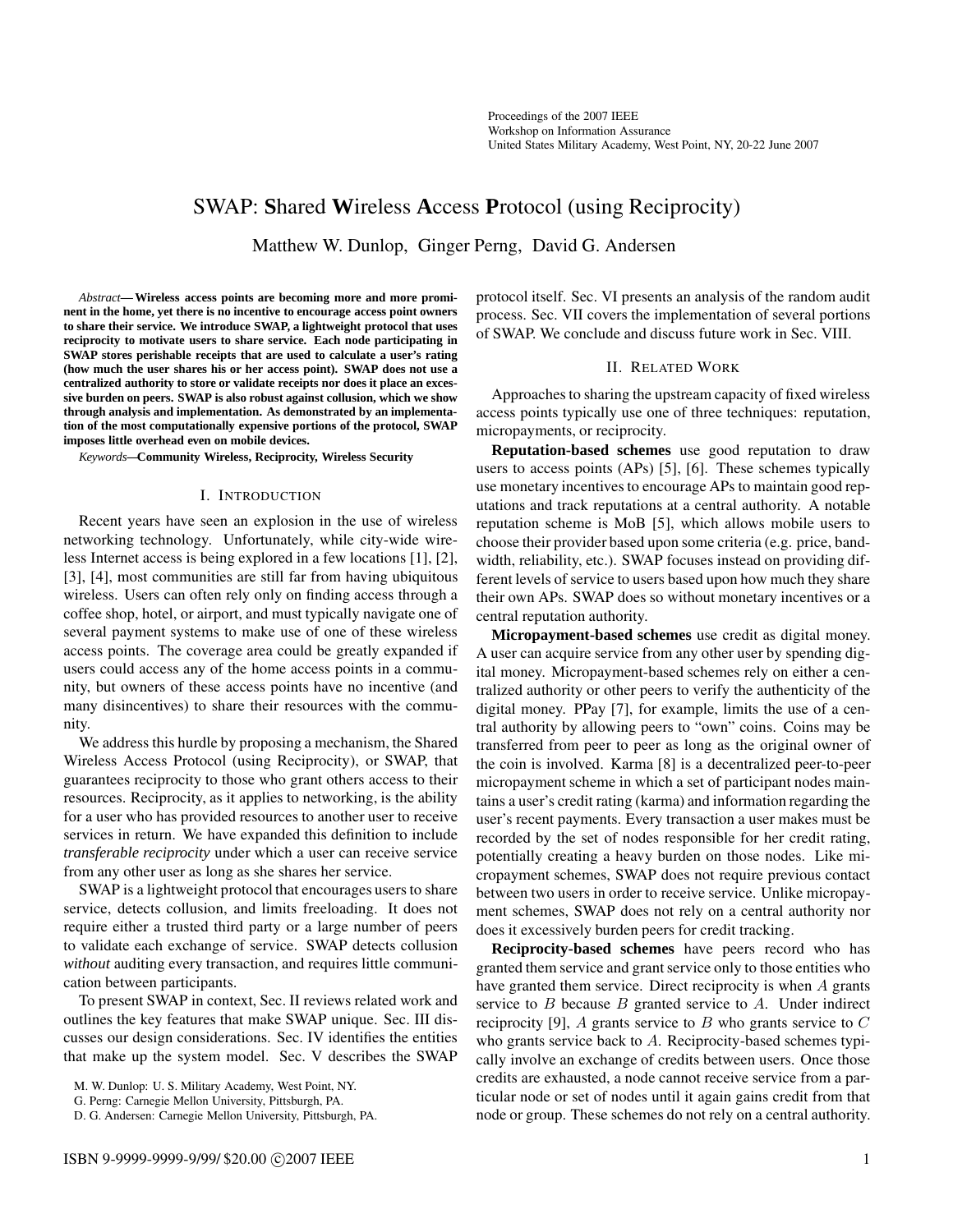# SWAP: **S**hared **W**ireless **A**ccess **P**rotocol (using Reciprocity)

Matthew W. Dunlop, Ginger Perng, David G. Andersen

*Abstract***— Wireless access points are becoming more and more prominent in the home, yet there is no incentive to encourage access point owners to share their service. We introduce SWAP, a lightweight protocol that uses reciprocity to motivate users to share service. Each node participating in SWAP stores perishable receipts that are used to calculate a user's rating (how much the user shares his or her access point). SWAP does not use a centralized authority to store or validate receipts nor does it place an excessive burden on peers. SWAP is also robust against collusion, which we show through analysis and implementation. As demonstrated by an implementation of the most computationally expensive portions of the protocol, SWAP imposes little overhead even on mobile devices.**

*Keywords***—Community Wireless, Reciprocity, Wireless Security**

#### I. INTRODUCTION

Recent years have seen an explosion in the use of wireless networking technology. Unfortunately, while city-wide wireless Internet access is being explored in a few locations [1], [2], [3], [4], most communities are still far from having ubiquitous wireless. Users can often rely only on finding access through a coffee shop, hotel, or airport, and must typically navigate one of several payment systems to make use of one of these wireless access points. The coverage area could be greatly expanded if users could access any of the home access points in a community, but owners of these access points have no incentive (and many disincentives) to share their resources with the community.

We address this hurdle by proposing a mechanism, the Shared Wireless Access Protocol (using Reciprocity), or SWAP, that guarantees reciprocity to those who grant others access to their resources. Reciprocity, as it applies to networking, is the ability for a user who has provided resources to another user to receive services in return. We have expanded this definition to include *transferable reciprocity* under which a user can receive service from any other user as long as she shares her service.

SWAP is a lightweight protocol that encourages users to share service, detects collusion, and limits freeloading. It does not require either a trusted third party or a large number of peers to validate each exchange of service. SWAP detects collusion *without* auditing every transaction, and requires little communication between participants.

To present SWAP in context, Sec. II reviews related work and outlines the key features that make SWAP unique. Sec. III discusses our design considerations. Sec. IV identifies the entities that make up the system model. Sec. V describes the SWAP

M. W. Dunlop: U. S. Military Academy, West Point, NY.

G. Perng: Carnegie Mellon University, Pittsburgh, PA.

D. G. Andersen: Carnegie Mellon University, Pittsburgh, PA.

protocol itself. Sec. VI presents an analysis of the random audit process. Sec. VII covers the implementation of several portions of SWAP. We conclude and discuss future work in Sec. VIII.

## II. RELATED WORK

Approaches to sharing the upstream capacity of fixed wireless access points typically use one of three techniques: reputation, micropayments, or reciprocity.

**Reputation-based schemes** use good reputation to draw users to access points (APs) [5], [6]. These schemes typically use monetary incentives to encourage APs to maintain good reputations and track reputations at a central authority. A notable reputation scheme is MoB [5], which allows mobile users to choose their provider based upon some criteria (e.g. price, bandwidth, reliability, etc.). SWAP focuses instead on providing different levels of service to users based upon how much they share their own APs. SWAP does so without monetary incentives or a central reputation authority.

**Micropayment-based schemes** use credit as digital money. A user can acquire service from any other user by spending digital money. Micropayment-based schemes rely on either a centralized authority or other peers to verify the authenticity of the digital money. PPay [7], for example, limits the use of a central authority by allowing peers to "own" coins. Coins may be transferred from peer to peer as long as the original owner of the coin is involved. Karma [8] is a decentralized peer-to-peer micropayment scheme in which a set of participant nodes maintains a user's credit rating (karma) and information regarding the user's recent payments. Every transaction a user makes must be recorded by the set of nodes responsible for her credit rating, potentially creating a heavy burden on those nodes. Like micropayment schemes, SWAP does not require previous contact between two users in order to receive service. Unlike micropayment schemes, SWAP does not rely on a central authority nor does it excessively burden peers for credit tracking.

**Reciprocity-based schemes** have peers record who has granted them service and grant service only to those entities who have granted them service. Direct reciprocity is when  $A$  grants service to  $B$  because  $B$  granted service to  $A$ . Under indirect reciprocity [9], A grants service to B who grants service to  $C$ who grants service back to A. Reciprocity-based schemes typically involve an exchange of credits between users. Once those credits are exhausted, a node cannot receive service from a particular node or set of nodes until it again gains credit from that node or group. These schemes do not rely on a central authority.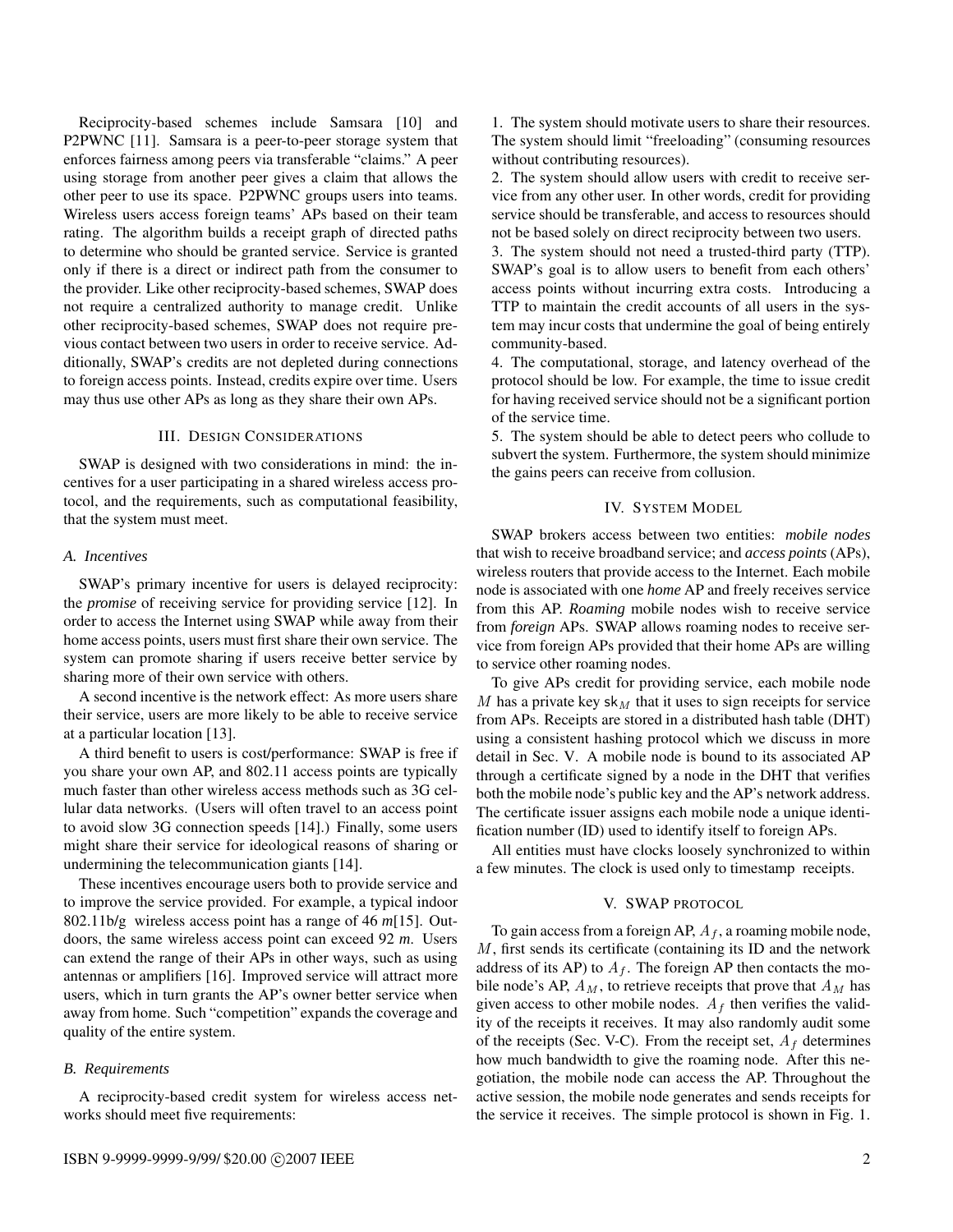Reciprocity-based schemes include Samsara [10] and P2PWNC [11]. Samsara is a peer-to-peer storage system that enforces fairness among peers via transferable "claims." A peer using storage from another peer gives a claim that allows the other peer to use its space. P2PWNC groups users into teams. Wireless users access foreign teams' APs based on their team rating. The algorithm builds a receipt graph of directed paths to determine who should be granted service. Service is granted only if there is a direct or indirect path from the consumer to the provider. Like other reciprocity-based schemes, SWAP does not require a centralized authority to manage credit. Unlike other reciprocity-based schemes, SWAP does not require previous contact between two users in order to receive service. Additionally, SWAP's credits are not depleted during connections to foreign access points. Instead, credits expire over time. Users may thus use other APs as long as they share their own APs.

## III. DESIGN CONSIDERATIONS

SWAP is designed with two considerations in mind: the incentives for a user participating in a shared wireless access protocol, and the requirements, such as computational feasibility, that the system must meet.

## *A. Incentives*

SWAP's primary incentive for users is delayed reciprocity: the *promise* of receiving service for providing service [12]. In order to access the Internet using SWAP while away from their home access points, users must first share their own service. The system can promote sharing if users receive better service by sharing more of their own service with others.

A second incentive is the network effect: As more users share their service, users are more likely to be able to receive service at a particular location [13].

A third benefit to users is cost/performance: SWAP is free if you share your own AP, and 802.11 access points are typically much faster than other wireless access methods such as 3G cellular data networks. (Users will often travel to an access point to avoid slow 3G connection speeds [14].) Finally, some users might share their service for ideological reasons of sharing or undermining the telecommunication giants [14].

These incentives encourage users both to provide service and to improve the service provided. For example, a typical indoor 802.11b/g wireless access point has a range of 46 *m*[15]. Outdoors, the same wireless access point can exceed 92 *m*. Users can extend the range of their APs in other ways, such as using antennas or amplifiers [16]. Improved service will attract more users, which in turn grants the AP's owner better service when away from home. Such "competition" expands the coverage and quality of the entire system.

## *B. Requirements*

A reciprocity-based credit system for wireless access networks should meet five requirements:

1. The system should motivate users to share their resources. The system should limit "freeloading" (consuming resources without contributing resources).

2. The system should allow users with credit to receive service from any other user. In other words, credit for providing service should be transferable, and access to resources should not be based solely on direct reciprocity between two users.

3. The system should not need a trusted-third party (TTP). SWAP's goal is to allow users to benefit from each others' access points without incurring extra costs. Introducing a TTP to maintain the credit accounts of all users in the system may incur costs that undermine the goal of being entirely community-based.

4. The computational, storage, and latency overhead of the protocol should be low. For example, the time to issue credit for having received service should not be a significant portion of the service time.

5. The system should be able to detect peers who collude to subvert the system. Furthermore, the system should minimize the gains peers can receive from collusion.

#### IV. SYSTEM MODEL

SWAP brokers access between two entities: *mobile nodes* that wish to receive broadband service; and *access points* (APs), wireless routers that provide access to the Internet. Each mobile node is associated with one *home* AP and freely receives service from this AP. *Roaming* mobile nodes wish to receive service from *foreign* APs. SWAP allows roaming nodes to receive service from foreign APs provided that their home APs are willing to service other roaming nodes.

To give APs credit for providing service, each mobile node M has a private key sk $_M$  that it uses to sign receipts for service from APs. Receipts are stored in a distributed hash table (DHT) using a consistent hashing protocol which we discuss in more detail in Sec. V. A mobile node is bound to its associated AP through a certificate signed by a node in the DHT that verifies both the mobile node's public key and the AP's network address. The certificate issuer assigns each mobile node a unique identification number (ID) used to identify itself to foreign APs.

All entities must have clocks loosely synchronized to within a few minutes. The clock is used only to timestamp receipts.

## V. SWAP PROTOCOL

To gain access from a foreign AP,  $A_f$ , a roaming mobile node,  $M$ , first sends its certificate (containing its ID and the network address of its AP) to  $A_f$ . The foreign AP then contacts the mobile node's AP,  $A_M$ , to retrieve receipts that prove that  $A_M$  has given access to other mobile nodes.  $A_f$  then verifies the validity of the receipts it receives. It may also randomly audit some of the receipts (Sec. V-C). From the receipt set,  $A_f$  determines how much bandwidth to give the roaming node. After this negotiation, the mobile node can access the AP. Throughout the active session, the mobile node generates and sends receipts for the service it receives. The simple protocol is shown in Fig. 1.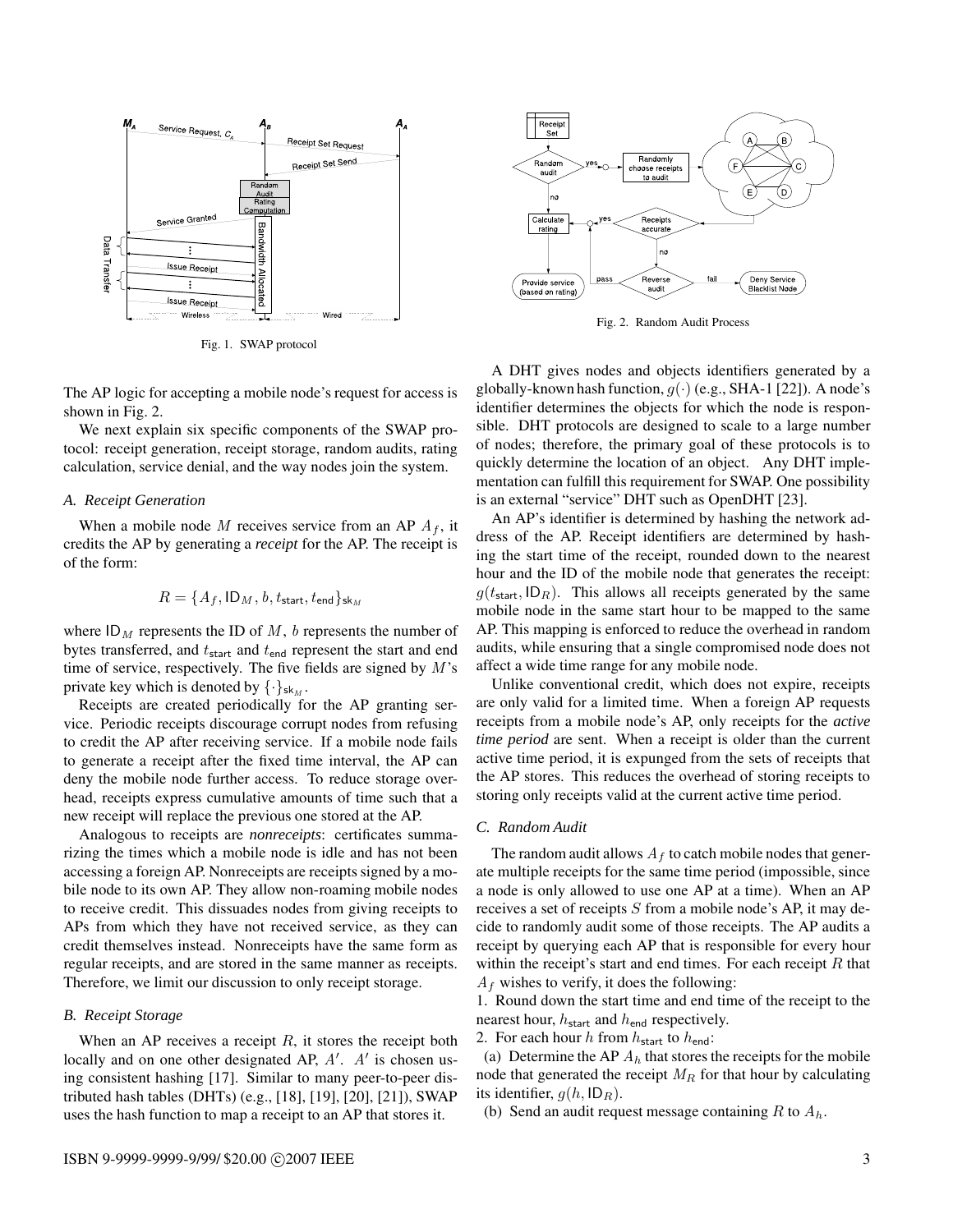

Fig. 1. SWAP protocol

The AP logic for accepting a mobile node's request for access is shown in Fig. 2.

We next explain six specific components of the SWAP protocol: receipt generation, receipt storage, random audits, rating calculation, service denial, and the way nodes join the system.

#### *A. Receipt Generation*

When a mobile node M receives service from an AP  $A_f$ , it credits the AP by generating a *receipt* for the AP. The receipt is of the form:

$$
R = \{A_f, \mathsf{ID}_M, b, t_{\mathsf{start}}, t_{\mathsf{end}}\}_{\mathsf{sk}_M}
$$

where  $ID_M$  represents the ID of M, b represents the number of bytes transferred, and  $t_{\text{start}}$  and  $t_{\text{end}}$  represent the start and end time of service, respectively. The five fields are signed by  $M$ 's private key which is denoted by  $\{\cdot\}_{\mathsf{sk}_M}$ .

Receipts are created periodically for the AP granting service. Periodic receipts discourage corrupt nodes from refusing to credit the AP after receiving service. If a mobile node fails to generate a receipt after the fixed time interval, the AP can deny the mobile node further access. To reduce storage overhead, receipts express cumulative amounts of time such that a new receipt will replace the previous one stored at the AP.

Analogous to receipts are *nonreceipts*: certificates summarizing the times which a mobile node is idle and has not been accessing a foreign AP. Nonreceipts are receipts signed by a mobile node to its own AP. They allow non-roaming mobile nodes to receive credit. This dissuades nodes from giving receipts to APs from which they have not received service, as they can credit themselves instead. Nonreceipts have the same form as regular receipts, and are stored in the same manner as receipts. Therefore, we limit our discussion to only receipt storage.

### *B. Receipt Storage*

When an AP receives a receipt  $R$ , it stores the receipt both locally and on one other designated AP,  $A'$ .  $A'$  is chosen using consistent hashing [17]. Similar to many peer-to-peer distributed hash tables (DHTs) (e.g., [18], [19], [20], [21]), SWAP uses the hash function to map a receipt to an AP that stores it.



Fig. 2. Random Audit Process

A DHT gives nodes and objects identifiers generated by a globally-known hash function,  $q(\cdot)$  (e.g., SHA-1 [22]). A node's identifier determines the objects for which the node is responsible. DHT protocols are designed to scale to a large number of nodes; therefore, the primary goal of these protocols is to quickly determine the location of an object. Any DHT implementation can fulfill this requirement for SWAP. One possibility is an external "service" DHT such as OpenDHT [23].

An AP's identifier is determined by hashing the network address of the AP. Receipt identifiers are determined by hashing the start time of the receipt, rounded down to the nearest hour and the ID of the mobile node that generates the receipt:  $g(t_{\text{start}}, \text{ID}_R)$ . This allows all receipts generated by the same mobile node in the same start hour to be mapped to the same AP. This mapping is enforced to reduce the overhead in random audits, while ensuring that a single compromised node does not affect a wide time range for any mobile node.

Unlike conventional credit, which does not expire, receipts are only valid for a limited time. When a foreign AP requests receipts from a mobile node's AP, only receipts for the *active time period* are sent. When a receipt is older than the current active time period, it is expunged from the sets of receipts that the AP stores. This reduces the overhead of storing receipts to storing only receipts valid at the current active time period.

## *C. Random Audit*

The random audit allows  $A_f$  to catch mobile nodes that generate multiple receipts for the same time period (impossible, since a node is only allowed to use one AP at a time). When an AP receives a set of receipts  $S$  from a mobile node's AP, it may decide to randomly audit some of those receipts. The AP audits a receipt by querying each AP that is responsible for every hour within the receipt's start and end times. For each receipt  $R$  that  $A_f$  wishes to verify, it does the following:

1. Round down the start time and end time of the receipt to the nearest hour,  $h_{\text{start}}$  and  $h_{\text{end}}$  respectively.

2. For each hour h from  $h_{\text{start}}$  to  $h_{\text{end}}$ :

(a) Determine the AP  $A_h$  that stores the receipts for the mobile node that generated the receipt  $M_R$  for that hour by calculating its identifier,  $g(h, \mathsf{ID}_R)$ .

(b) Send an audit request message containing R to  $A<sub>h</sub>$ .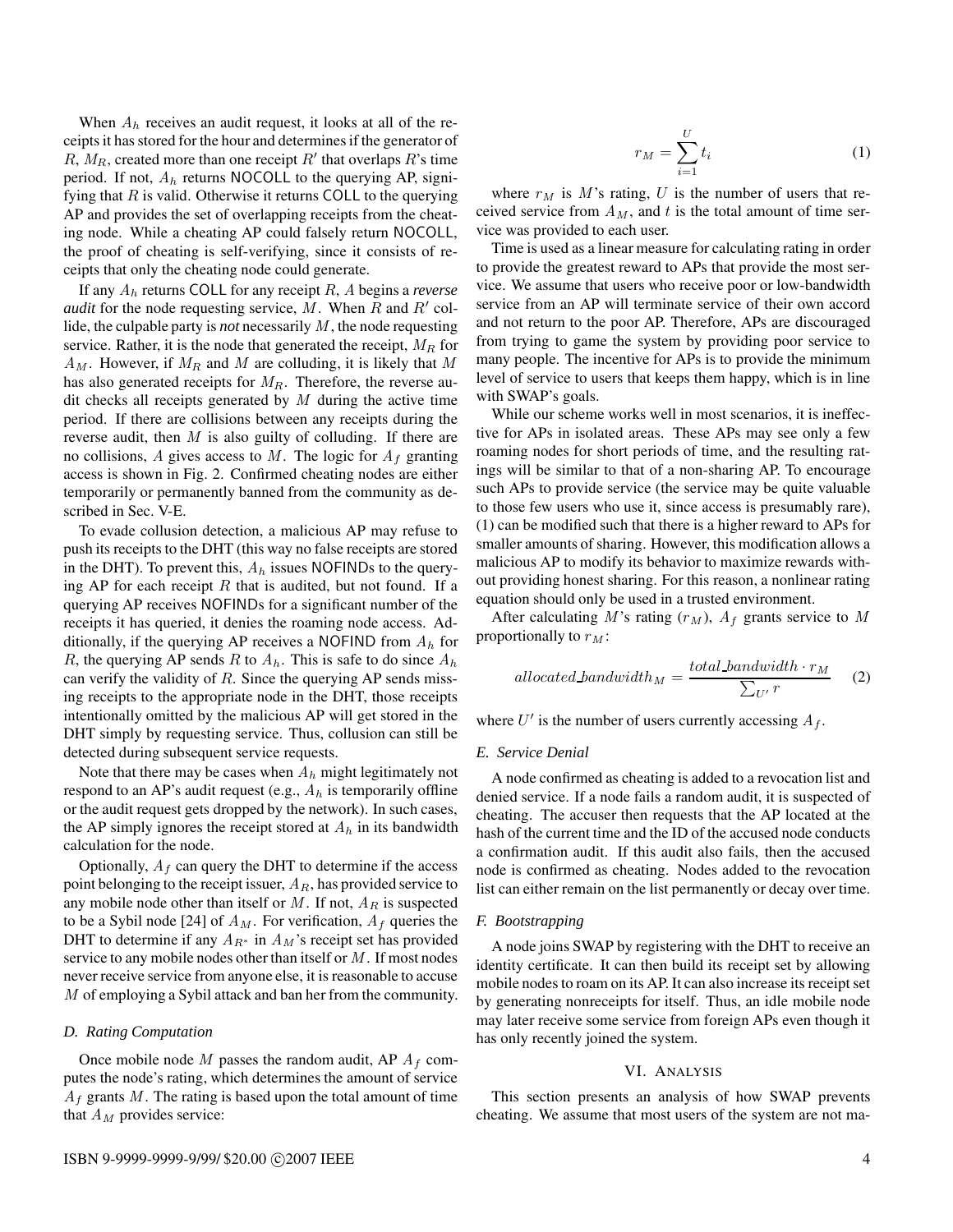When  $A_h$  receives an audit request, it looks at all of the receipts it has stored for the hour and determines if the generator of  $R, M_R$ , created more than one receipt  $R'$  that overlaps  $R'$ 's time period. If not,  $A_h$  returns NOCOLL to the querying AP, signifying that  $R$  is valid. Otherwise it returns COLL to the querying AP and provides the set of overlapping receipts from the cheating node. While a cheating AP could falsely return NOCOLL, the proof of cheating is self-verifying, since it consists of receipts that only the cheating node could generate.

If any A<sup>h</sup> returns COLL for any receipt R, A begins a *reverse audit* for the node requesting service,  $\overline{M}$ . When  $\overline{R}$  and  $R'$  collide, the culpable party is *not* necessarily M , the node requesting service. Rather, it is the node that generated the receipt,  $M_R$  for  $A_M$ . However, if  $M_R$  and M are colluding, it is likely that M has also generated receipts for  $M_R$ . Therefore, the reverse audit checks all receipts generated by  $M$  during the active time period. If there are collisions between any receipts during the reverse audit, then  $M$  is also guilty of colluding. If there are no collisions, A gives access to M. The logic for  $A_f$  granting access is shown in Fig. 2. Confirmed cheating nodes are either temporarily or permanently banned from the community as described in Sec. V-E.

To evade collusion detection, a malicious AP may refuse to push its receipts to the DHT (this way no false receipts are stored in the DHT). To prevent this,  $A_h$  issues NOFINDs to the querying AP for each receipt R that is audited, but not found. If a querying AP receives NOFINDs for a significant number of the receipts it has queried, it denies the roaming node access. Additionally, if the querying AP receives a NOFIND from  $A<sub>h</sub>$  for R, the querying AP sends R to  $A_h$ . This is safe to do since  $A_h$ can verify the validity of  $R$ . Since the querying AP sends missing receipts to the appropriate node in the DHT, those receipts intentionally omitted by the malicious AP will get stored in the DHT simply by requesting service. Thus, collusion can still be detected during subsequent service requests.

Note that there may be cases when  $A_h$  might legitimately not respond to an AP's audit request (e.g.,  $A<sub>h</sub>$  is temporarily offline or the audit request gets dropped by the network). In such cases, the AP simply ignores the receipt stored at  $A_h$  in its bandwidth calculation for the node.

Optionally,  $A_f$  can query the DHT to determine if the access point belonging to the receipt issuer,  $A_R$ , has provided service to any mobile node other than itself or  $M$ . If not,  $A_R$  is suspected to be a Sybil node [24] of  $A_M$ . For verification,  $A_f$  queries the DHT to determine if any  $A_{R^*}$  in  $A_M$ 's receipt set has provided service to any mobile nodes other than itself or  $M$ . If most nodes never receive service from anyone else, it is reasonable to accuse M of employing a Sybil attack and ban her from the community.

#### *D. Rating Computation*

Once mobile node M passes the random audit, AP  $A_f$  computes the node's rating, which determines the amount of service  $A_f$  grants M. The rating is based upon the total amount of time that  $A_M$  provides service:

$$
r_M = \sum_{i=1}^{U} t_i \tag{1}
$$

where  $r_M$  is M's rating, U is the number of users that received service from  $A_M$ , and t is the total amount of time service was provided to each user.

Time is used as a linear measure for calculating rating in order to provide the greatest reward to APs that provide the most service. We assume that users who receive poor or low-bandwidth service from an AP will terminate service of their own accord and not return to the poor AP. Therefore, APs are discouraged from trying to game the system by providing poor service to many people. The incentive for APs is to provide the minimum level of service to users that keeps them happy, which is in line with SWAP's goals.

While our scheme works well in most scenarios, it is ineffective for APs in isolated areas. These APs may see only a few roaming nodes for short periods of time, and the resulting ratings will be similar to that of a non-sharing AP. To encourage such APs to provide service (the service may be quite valuable to those few users who use it, since access is presumably rare), (1) can be modified such that there is a higher reward to APs for smaller amounts of sharing. However, this modification allows a malicious AP to modify its behavior to maximize rewards without providing honest sharing. For this reason, a nonlinear rating equation should only be used in a trusted environment.

After calculating M's rating  $(r_M)$ ,  $A_f$  grants service to M proportionally to  $r_M$ :

$$
allocated bandwidth_M = \frac{total\_bandwidth \cdot r_M}{\sum_{U'} r} \tag{2}
$$

where  $U'$  is the number of users currently accessing  $A_f$ .

## *E. Service Denial*

A node confirmed as cheating is added to a revocation list and denied service. If a node fails a random audit, it is suspected of cheating. The accuser then requests that the AP located at the hash of the current time and the ID of the accused node conducts a confirmation audit. If this audit also fails, then the accused node is confirmed as cheating. Nodes added to the revocation list can either remain on the list permanently or decay over time.

#### *F. Bootstrapping*

A node joins SWAP by registering with the DHT to receive an identity certificate. It can then build its receipt set by allowing mobile nodes to roam on its AP. It can also increase its receipt set by generating nonreceipts for itself. Thus, an idle mobile node may later receive some service from foreign APs even though it has only recently joined the system.

#### VI. ANALYSIS

This section presents an analysis of how SWAP prevents cheating. We assume that most users of the system are not ma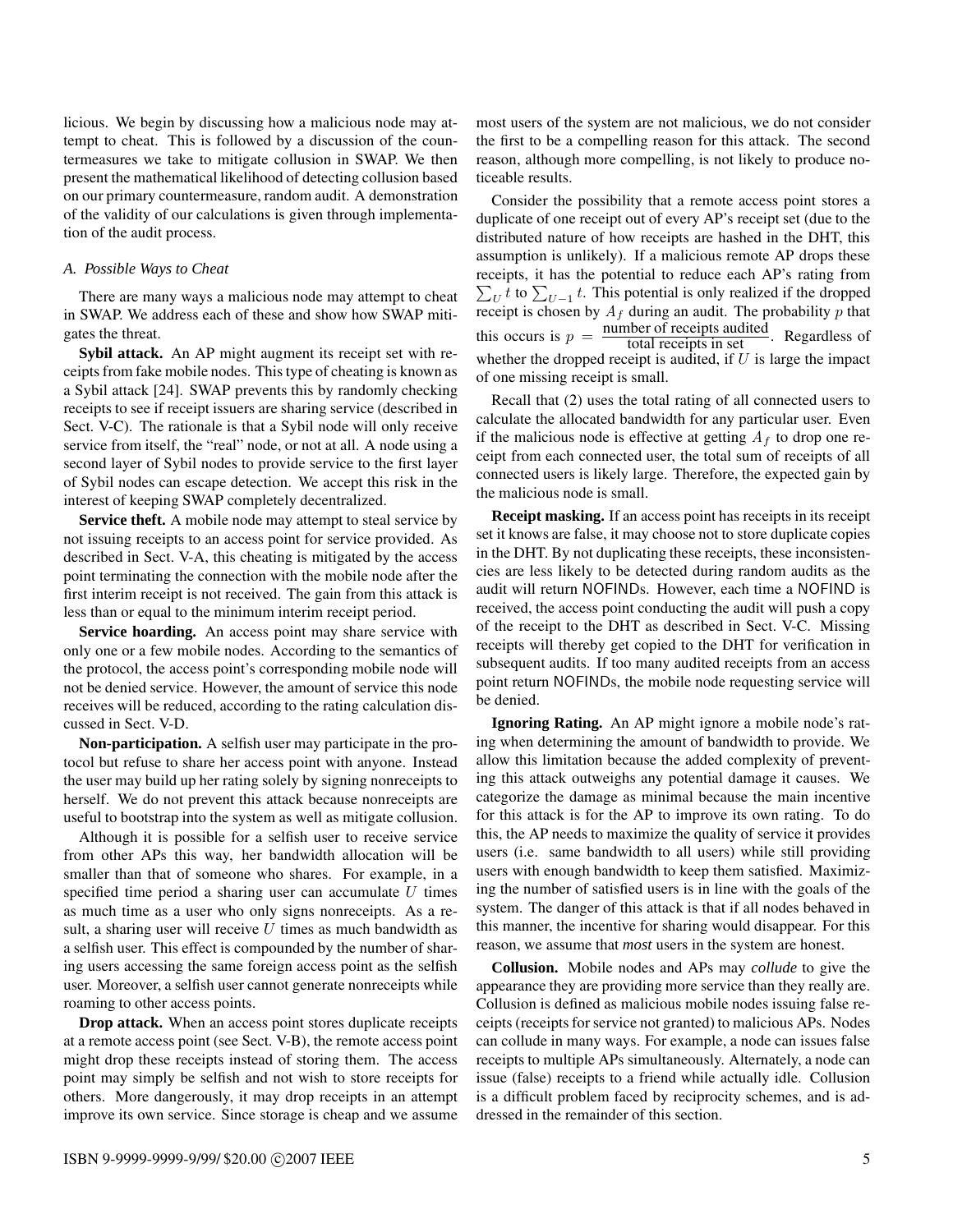licious. We begin by discussing how a malicious node may attempt to cheat. This is followed by a discussion of the countermeasures we take to mitigate collusion in SWAP. We then present the mathematical likelihood of detecting collusion based on our primary countermeasure, random audit. A demonstration of the validity of our calculations is given through implementation of the audit process.

#### *A. Possible Ways to Cheat*

There are many ways a malicious node may attempt to cheat in SWAP. We address each of these and show how SWAP mitigates the threat.

**Sybil attack.** An AP might augment its receipt set with receipts from fake mobile nodes. Thistype of cheating is known as a Sybil attack [24]. SWAP prevents this by randomly checking receipts to see if receipt issuers are sharing service (described in Sect. V-C). The rationale is that a Sybil node will only receive service from itself, the "real" node, or not at all. A node using a second layer of Sybil nodes to provide service to the first layer of Sybil nodes can escape detection. We accept this risk in the interest of keeping SWAP completely decentralized.

**Service theft.** A mobile node may attempt to steal service by not issuing receipts to an access point for service provided. As described in Sect. V-A, this cheating is mitigated by the access point terminating the connection with the mobile node after the first interim receipt is not received. The gain from this attack is less than or equal to the minimum interim receipt period.

**Service hoarding.** An access point may share service with only one or a few mobile nodes. According to the semantics of the protocol, the access point's corresponding mobile node will not be denied service. However, the amount of service this node receives will be reduced, according to the rating calculation discussed in Sect. V-D.

**Non-participation.** A selfish user may participate in the protocol but refuse to share her access point with anyone. Instead the user may build up her rating solely by signing nonreceipts to herself. We do not prevent this attack because nonreceipts are useful to bootstrap into the system as well as mitigate collusion.

Although it is possible for a selfish user to receive service from other APs this way, her bandwidth allocation will be smaller than that of someone who shares. For example, in a specified time period a sharing user can accumulate  $U$  times as much time as a user who only signs nonreceipts. As a result, a sharing user will receive  $U$  times as much bandwidth as a selfish user. This effect is compounded by the number of sharing users accessing the same foreign access point as the selfish user. Moreover, a selfish user cannot generate nonreceipts while roaming to other access points.

**Drop attack.** When an access point stores duplicate receipts at a remote access point (see Sect. V-B), the remote access point might drop these receipts instead of storing them. The access point may simply be selfish and not wish to store receipts for others. More dangerously, it may drop receipts in an attempt improve its own service. Since storage is cheap and we assume

most users of the system are not malicious, we do not consider the first to be a compelling reason for this attack. The second reason, although more compelling, is not likely to produce noticeable results.

Consider the possibility that a remote access point stores a duplicate of one receipt out of every AP's receipt set (due to the distributed nature of how receipts are hashed in the DHT, this assumption is unlikely). If a malicious remote AP drops these  $\sum_{U} t$  to  $\sum_{U-1} t$ . This potential is only realized if the dropped receipts, it has the potential to reduce each AP's rating from  $\sum_{U} v$  to  $\sum_{U-1} v$ . This potential is only realized if the diopped receipt is chosen by  $A_f$  during an audit. The probability p that this occurs is  $p = \frac{\text{number of receipts andited}}{\text{total receipts in set}}$ . Regardless of whether the dropped receipt is audited, if  $U$  is large the impact of one missing receipt is small.

Recall that (2) uses the total rating of all connected users to calculate the allocated bandwidth for any particular user. Even if the malicious node is effective at getting  $A_f$  to drop one receipt from each connected user, the total sum of receipts of all connected users is likely large. Therefore, the expected gain by the malicious node is small.

**Receipt masking.** If an access point has receipts in its receipt set it knows are false, it may choose not to store duplicate copies in the DHT. By not duplicating these receipts, these inconsistencies are less likely to be detected during random audits as the audit will return NOFINDs. However, each time a NOFIND is received, the access point conducting the audit will push a copy of the receipt to the DHT as described in Sect. V-C. Missing receipts will thereby get copied to the DHT for verification in subsequent audits. If too many audited receipts from an access point return NOFINDs, the mobile node requesting service will be denied.

**Ignoring Rating.** An AP might ignore a mobile node's rating when determining the amount of bandwidth to provide. We allow this limitation because the added complexity of preventing this attack outweighs any potential damage it causes. We categorize the damage as minimal because the main incentive for this attack is for the AP to improve its own rating. To do this, the AP needs to maximize the quality of service it provides users (i.e. same bandwidth to all users) while still providing users with enough bandwidth to keep them satisfied. Maximizing the number of satisfied users is in line with the goals of the system. The danger of this attack is that if all nodes behaved in this manner, the incentive for sharing would disappear. For this reason, we assume that *most* users in the system are honest.

**Collusion.** Mobile nodes and APs may *collude* to give the appearance they are providing more service than they really are. Collusion is defined as malicious mobile nodes issuing false receipts (receipts for service not granted) to malicious APs. Nodes can collude in many ways. For example, a node can issues false receipts to multiple APs simultaneously. Alternately, a node can issue (false) receipts to a friend while actually idle. Collusion is a difficult problem faced by reciprocity schemes, and is addressed in the remainder of this section.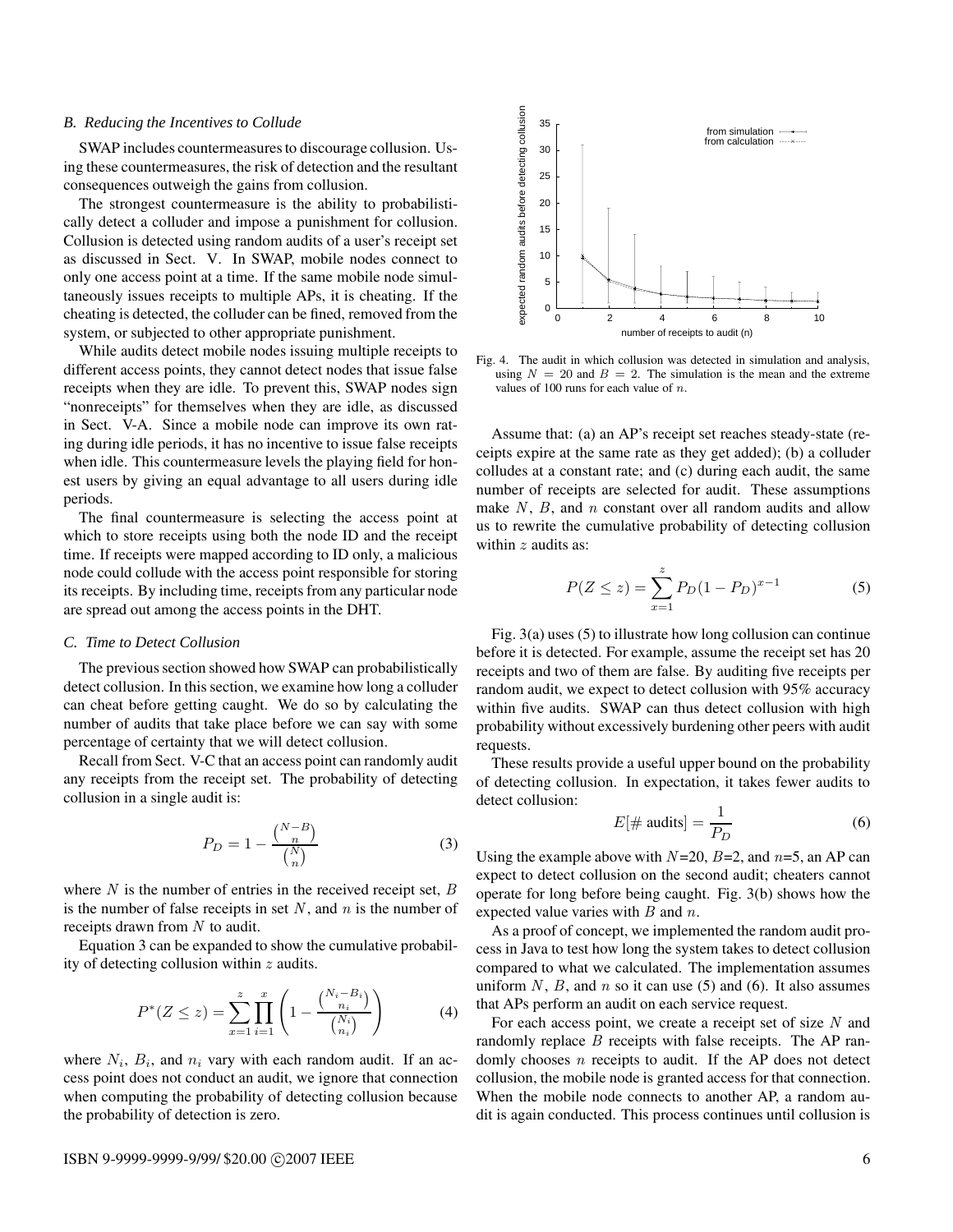#### *B. Reducing the Incentives to Collude*

SWAP includes countermeasures to discourage collusion. Using these countermeasures, the risk of detection and the resultant consequences outweigh the gains from collusion.

The strongest countermeasure is the ability to probabilistically detect a colluder and impose a punishment for collusion. Collusion is detected using random audits of a user's receipt set as discussed in Sect. V. In SWAP, mobile nodes connect to only one access point at a time. If the same mobile node simultaneously issues receipts to multiple APs, it is cheating. If the cheating is detected, the colluder can be fined, removed from the system, or subjected to other appropriate punishment.

While audits detect mobile nodes issuing multiple receipts to different access points, they cannot detect nodes that issue false receipts when they are idle. To prevent this, SWAP nodes sign "nonreceipts" for themselves when they are idle, as discussed in Sect. V-A. Since a mobile node can improve its own rating during idle periods, it has no incentive to issue false receipts when idle. This countermeasure levels the playing field for honest users by giving an equal advantage to all users during idle periods.

The final countermeasure is selecting the access point at which to store receipts using both the node ID and the receipt time. If receipts were mapped according to ID only, a malicious node could collude with the access point responsible for storing its receipts. By including time, receipts from any particular node are spread out among the access points in the DHT.

## *C. Time to Detect Collusion*

The previous section showed how SWAP can probabilistically detect collusion. In this section, we examine how long a colluder can cheat before getting caught. We do so by calculating the number of audits that take place before we can say with some percentage of certainty that we will detect collusion.

Recall from Sect. V-C that an access point can randomly audit any receipts from the receipt set. The probability of detecting collusion in a single audit is:

$$
P_D = 1 - \frac{\binom{N-B}{n}}{\binom{N}{n}}\tag{3}
$$

where  $N$  is the number of entries in the received receipt set,  $B$ is the number of false receipts in set  $N$ , and  $n$  is the number of receipts drawn from  $N$  to audit.

Equation 3 can be expanded to show the cumulative probability of detecting collusion within  $z$  audits.

$$
P^*(Z \le z) = \sum_{x=1}^z \prod_{i=1}^x \left( 1 - \frac{\binom{N_i - B_i}{n_i}}{\binom{N_i}{n_i}} \right) \tag{4}
$$

where  $N_i$ ,  $B_i$ , and  $n_i$  vary with each random audit. If an access point does not conduct an audit, we ignore that connection when computing the probability of detecting collusion because the probability of detection is zero.



Fig. 4. The audit in which collusion was detected in simulation and analysis, using  $N = 20$  and  $B = 2$ . The simulation is the mean and the extreme values of 100 runs for each value of  $n$ .

Assume that: (a) an AP's receipt set reaches steady-state (receipts expire at the same rate as they get added); (b) a colluder colludes at a constant rate; and (c) during each audit, the same number of receipts are selected for audit. These assumptions make  $N$ ,  $B$ , and  $n$  constant over all random audits and allow us to rewrite the cumulative probability of detecting collusion within  $z$  audits as:

$$
P(Z \le z) = \sum_{x=1}^{z} P_D (1 - P_D)^{x-1}
$$
 (5)

Fig. 3(a) uses (5) to illustrate how long collusion can continue before it is detected. For example, assume the receipt set has 20 receipts and two of them are false. By auditing five receipts per random audit, we expect to detect collusion with 95% accuracy within five audits. SWAP can thus detect collusion with high probability without excessively burdening other peers with audit requests.

These results provide a useful upper bound on the probability of detecting collusion. In expectation, it takes fewer audits to detect collusion:

$$
E[\text{# audits}] = \frac{1}{P_D} \tag{6}
$$

Using the example above with  $N=20$ ,  $B=2$ , and  $n=5$ , an AP can expect to detect collusion on the second audit; cheaters cannot operate for long before being caught. Fig. 3(b) shows how the expected value varies with  $B$  and  $n$ .

As a proof of concept, we implemented the random audit process in Java to test how long the system takes to detect collusion compared to what we calculated. The implementation assumes uniform N, B, and  $n$  so it can use (5) and (6). It also assumes that APs perform an audit on each service request.

For each access point, we create a receipt set of size  $N$  and randomly replace  $B$  receipts with false receipts. The AP randomly chooses  $n$  receipts to audit. If the AP does not detect collusion, the mobile node is granted access for that connection. When the mobile node connects to another AP, a random audit is again conducted. This process continues until collusion is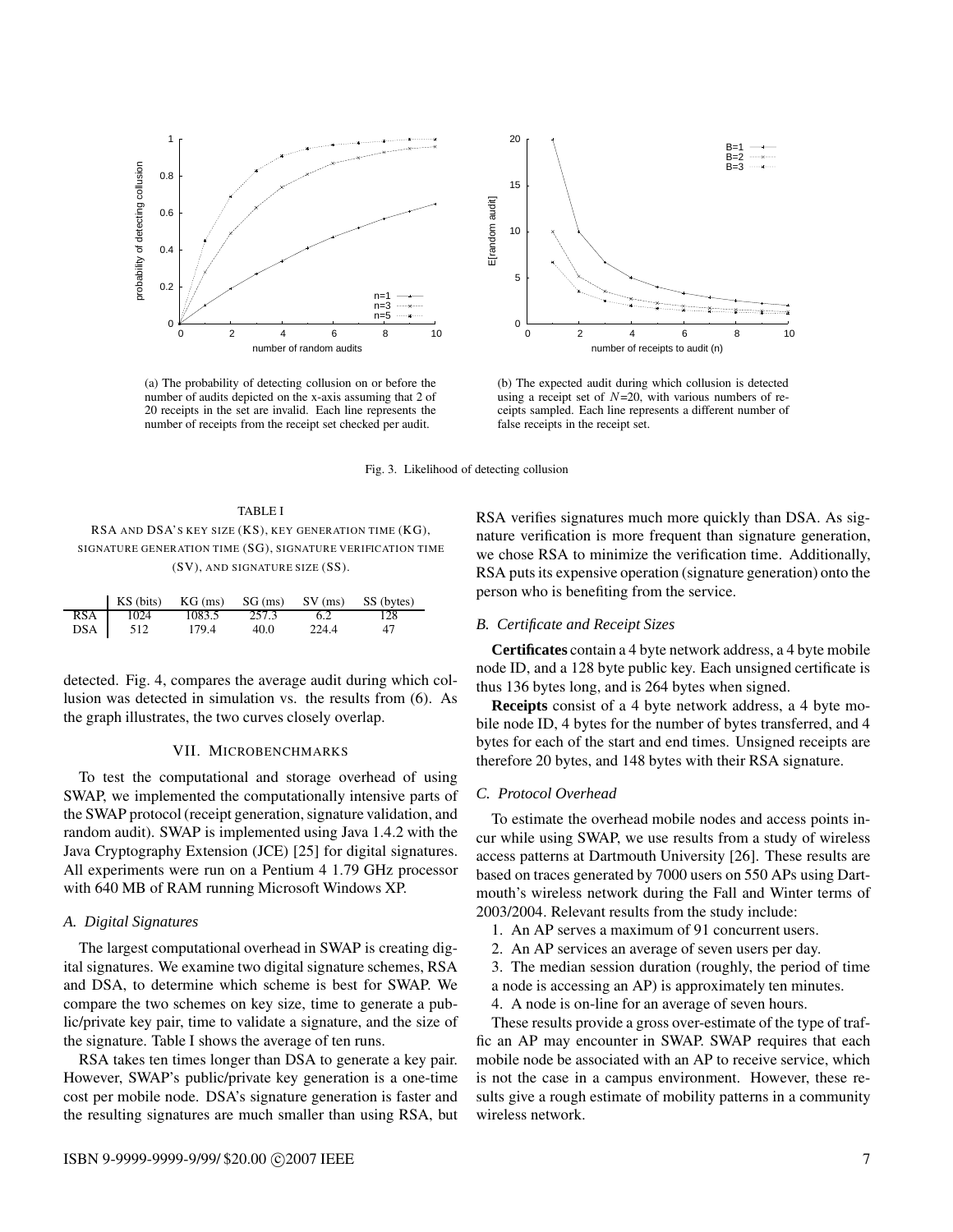

(a) The probability of detecting collusion on or before the number of audits depicted on the x-axis assuming that 2 of 20 receipts in the set are invalid. Each line represents the number of receipts from the receipt set checked per audit.



(b) The expected audit during which collusion is detected using a receipt set of  $N=20$ , with various numbers of receipts sampled. Each line represents a different number of false receipts in the receipt set.

Fig. 3. Likelihood of detecting collusion

| TABLE I                                                     |
|-------------------------------------------------------------|
| RSA AND DSA'S KEY SIZE (KS), KEY GENERATION TIME (KG),      |
| SIGNATURE GENERATION TIME (SG), SIGNATURE VERIFICATION TIME |
| $(SV)$ , AND SIGNATURE SIZE $(SS)$ .                        |

|            | KS (bits) | $KG$ (ms) | $SG$ (ms) | $SV$ (ms) | SS (bytes) |
|------------|-----------|-----------|-----------|-----------|------------|
| <b>RSA</b> | 1024      | 1083.5    | 257.3     | 6.2       | 128        |
| DSA        | 512       | 179.4     | 40.0      | 224.4     | 47         |

detected. Fig. 4, compares the average audit during which collusion was detected in simulation vs. the results from (6). As the graph illustrates, the two curves closely overlap.

## VII. MICROBENCHMARKS

To test the computational and storage overhead of using SWAP, we implemented the computationally intensive parts of the SWAP protocol (receipt generation, signature validation, and random audit). SWAP is implemented using Java 1.4.2 with the Java Cryptography Extension (JCE) [25] for digital signatures. All experiments were run on a Pentium 4 1.79 GHz processor with 640 MB of RAM running Microsoft Windows XP.

## *A. Digital Signatures*

The largest computational overhead in SWAP is creating digital signatures. We examine two digital signature schemes, RSA and DSA, to determine which scheme is best for SWAP. We compare the two schemes on key size, time to generate a public/private key pair, time to validate a signature, and the size of the signature. Table I shows the average of ten runs.

RSA takes ten times longer than DSA to generate a key pair. However, SWAP's public/private key generation is a one-time cost per mobile node. DSA's signature generation is faster and the resulting signatures are much smaller than using RSA, but RSA verifies signatures much more quickly than DSA. As signature verification is more frequent than signature generation, we chose RSA to minimize the verification time. Additionally, RSA puts its expensive operation (signature generation) onto the person who is benefiting from the service.

## *B. Certificate and Receipt Sizes*

**Certificates** contain a 4 byte network address, a 4 byte mobile node ID, and a 128 byte public key. Each unsigned certificate is thus 136 bytes long, and is 264 bytes when signed.

**Receipts** consist of a 4 byte network address, a 4 byte mobile node ID, 4 bytes for the number of bytes transferred, and 4 bytes for each of the start and end times. Unsigned receipts are therefore 20 bytes, and 148 bytes with their RSA signature.

## *C. Protocol Overhead*

To estimate the overhead mobile nodes and access points incur while using SWAP, we use results from a study of wireless access patterns at Dartmouth University [26]. These results are based on traces generated by 7000 users on 550 APs using Dartmouth's wireless network during the Fall and Winter terms of 2003/2004. Relevant results from the study include:

- 1. An AP serves a maximum of 91 concurrent users.
- 2. An AP services an average of seven users per day.
- 3. The median session duration (roughly, the period of time a node is accessing an AP) is approximately ten minutes.
- 4. A node is on-line for an average of seven hours.

These results provide a gross over-estimate of the type of traffic an AP may encounter in SWAP. SWAP requires that each mobile node be associated with an AP to receive service, which is not the case in a campus environment. However, these results give a rough estimate of mobility patterns in a community wireless network.